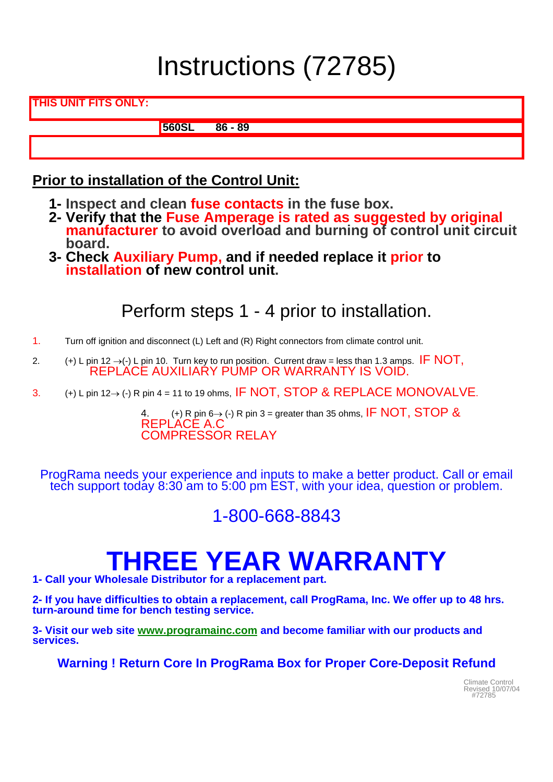# Instructions (72785)

**THIS UNIT FITS ONLY:** 

**560SL 86 - 89**

### **Prior to installation of the Control Unit:**

- **1- Inspect and clean fuse contacts in the fuse box.**
- **2- Verify that the Fuse Amperage is rated as suggested by original manufacturer to avoid overload and burning of control unit circuit board.**
- **3- Check Auxiliary Pump, and if needed replace it prior to installation of new control unit.**

## Perform steps 1 - 4 prior to installation.

- 1. Turn off ignition and disconnect (L) Left and (R) Right connectors from climate control unit.
- 2. (+) L pin 12  $\rightarrow$  (-) L pin 10. Turn key to run position. Current draw = less than 1.3 amps. IF NOT, REPLACE AUXILIARY PUMP OR WARRANTY IS VOID.
- 3.  $(+)$  L pin 12→ (-) R pin 4 = 11 to 19 ohms, IF NOT, STOP & REPLACE MONOVALVE.

4. (+) R pin 6→ (-) R pin 3 = greater than 35 ohms, IF NOT, STOP & REPLACE A.C<br>COMPRESSOR RELAY

ProgRama needs your experience and inputs to make a better product. Call or email tech support today 8:30 am to 5:00 pm EST, with your idea, question or problem.

### 1-800-668-8843

## **THREE YEAR WARRANTY**

**1- Call your Wholesale Distributor for a replacement part.** 

**2- If you have difficulties to obtain a replacement, call ProgRama, Inc. We offer up to 48 hrs. turn-around time for bench testing service.** 

**3- Visit our web site www.programainc.com and become familiar with our products and services.** 

**Warning ! Return Core In ProgRama Box for Proper Core-Deposit Refund** 

Revised 10/07/04 #72785